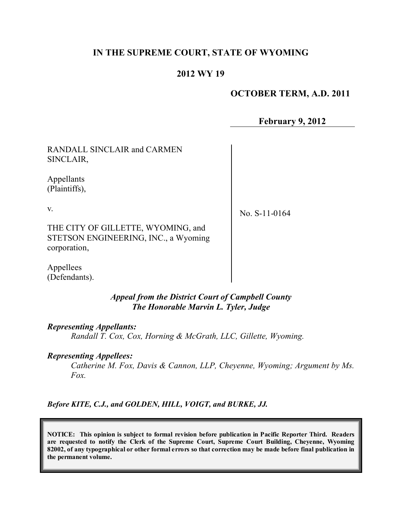# **IN THE SUPREME COURT, STATE OF WYOMING**

## **2012 WY 19**

## **OCTOBER TERM, A.D. 2011**

**February 9, 2012**

RANDALL SINCLAIR and CARMEN SINCLAIR,

Appellants (Plaintiffs),

v.

No. S-11-0164

THE CITY OF GILLETTE, WYOMING, and STETSON ENGINEERING, INC., a Wyoming corporation,

Appellees (Defendants).

> *Appeal from the District Court of Campbell County The Honorable Marvin L. Tyler, Judge*

*Representing Appellants:*

*Randall T. Cox, Cox, Horning & McGrath, LLC, Gillette, Wyoming.*

*Representing Appellees:*

*Catherine M. Fox, Davis & Cannon, LLP, Cheyenne, Wyoming; Argument by Ms. Fox.*

*Before KITE, C.J., and GOLDEN, HILL, VOIGT, and BURKE, JJ.*

**NOTICE: This opinion is subject to formal revision before publication in Pacific Reporter Third. Readers are requested to notify the Clerk of the Supreme Court, Supreme Court Building, Cheyenne, Wyoming** 82002, of any typographical or other formal errors so that correction may be made before final publication in **the permanent volume.**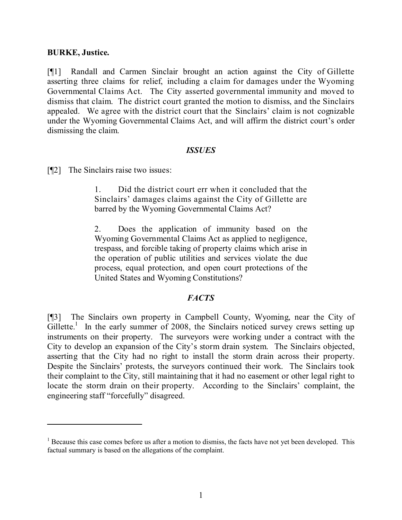#### **BURKE, Justice.**

[¶1] Randall and Carmen Sinclair brought an action against the City of Gillette asserting three claims for relief, including a claim for damages under the Wyoming Governmental Claims Act. The City asserted governmental immunity and moved to dismiss that claim. The district court granted the motion to dismiss, and the Sinclairs appealed. We agree with the district court that the Sinclairs' claim is not cognizable under the Wyoming Governmental Claims Act, and will affirm the district court's order dismissing the claim.

#### *ISSUES*

[¶2] The Sinclairs raise two issues:

1. Did the district court err when it concluded that the Sinclairs' damages claims against the City of Gillette are barred by the Wyoming Governmental Claims Act?

2. Does the application of immunity based on the Wyoming Governmental Claims Act as applied to negligence, trespass, and forcible taking of property claims which arise in the operation of public utilities and services violate the due process, equal protection, and open court protections of the United States and Wyoming Constitutions?

### *FACTS*

[¶3] The Sinclairs own property in Campbell County, Wyoming, near the City of Gillette.<sup>1</sup> In the early summer of 2008, the Sinclairs noticed survey crews setting up instruments on their property. The surveyors were working under a contract with the City to develop an expansion of the City's storm drain system. The Sinclairs objected, asserting that the City had no right to install the storm drain across their property. Despite the Sinclairs' protests, the surveyors continued their work. The Sinclairs took their complaint to the City, still maintaining that it had no easement or other legal right to locate the storm drain on their property. According to the Sinclairs' complaint, the engineering staff "forcefully" disagreed.

<sup>&</sup>lt;sup>1</sup> Because this case comes before us after a motion to dismiss, the facts have not yet been developed. This factual summary is based on the allegations of the complaint.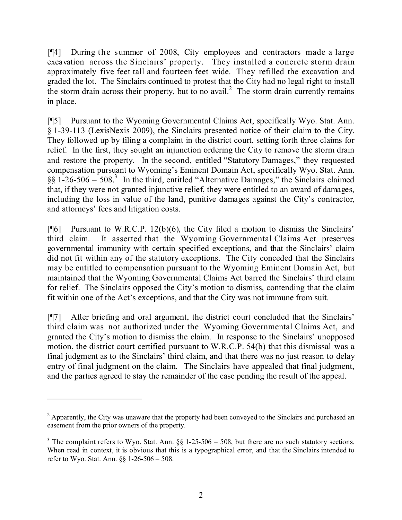[¶4] During the summer of 2008, City employees and contractors made a large excavation across the Sinclairs' property. They installed a concrete storm drain approximately five feet tall and fourteen feet wide. They refilled the excavation and graded the lot. The Sinclairs continued to protest that the City had no legal right to install the storm drain across their property, but to no avail.<sup>2</sup> The storm drain currently remains in place.

[¶5] Pursuant to the Wyoming Governmental Claims Act, specifically Wyo. Stat. Ann. § 1-39-113 (LexisNexis 2009), the Sinclairs presented notice of their claim to the City. They followed up by filing a complaint in the district court, setting forth three claims for relief. In the first, they sought an injunction ordering the City to remove the storm drain and restore the property. In the second, entitled "Statutory Damages," they requested compensation pursuant to Wyoming's Eminent Domain Act, specifically Wyo. Stat. Ann. §§ 1-26-506 – 508. 3 In the third, entitled "Alternative Damages," the Sinclairs claimed that, if they were not granted injunctive relief, they were entitled to an award of damages, including the loss in value of the land, punitive damages against the City's contractor, and attorneys' fees and litigation costs.

 $[$ [[6] Pursuant to W.R.C.P. 12(b)(6), the City filed a motion to dismiss the Sinclairs' third claim. It asserted that the Wyoming Governmental Claims Act preserves governmental immunity with certain specified exceptions, and that the Sinclairs' claim did not fit within any of the statutory exceptions. The City conceded that the Sinclairs may be entitled to compensation pursuant to the Wyoming Eminent Domain Act, but maintained that the Wyoming Governmental Claims Act barred the Sinclairs' third claim for relief. The Sinclairs opposed the City's motion to dismiss, contending that the claim fit within one of the Act's exceptions, and that the City was not immune from suit.

[¶7] After briefing and oral argument, the district court concluded that the Sinclairs' third claim was not authorized under the Wyoming Governmental Claims Act, and granted the City's motion to dismiss the claim. In response to the Sinclairs' unopposed motion, the district court certified pursuant to W.R.C.P. 54(b) that this dismissal was a final judgment as to the Sinclairs' third claim, and that there was no just reason to delay entry of final judgment on the claim. The Sinclairs have appealed that final judgment, and the parties agreed to stay the remainder of the case pending the result of the appeal.

<sup>&</sup>lt;sup>2</sup> Apparently, the City was unaware that the property had been conveyed to the Sinclairs and purchased an easement from the prior owners of the property.

<sup>&</sup>lt;sup>3</sup> The complaint refers to Wyo. Stat. Ann.  $\S$  1-25-506 – 508, but there are no such statutory sections. When read in context, it is obvious that this is a typographical error, and that the Sinclairs intended to refer to Wyo. Stat. Ann. §§ 1-26-506 – 508.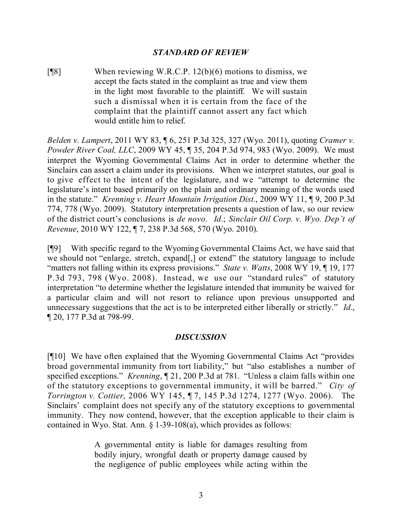#### *STANDARD OF REVIEW*

[¶8] When reviewing W.R.C.P. 12(b)(6) motions to dismiss, we accept the facts stated in the complaint as true and view them in the light most favorable to the plaintiff. We will sustain such a dismissal when it is certain from the face of the complaint that the plaintiff cannot assert any fact which would entitle him to relief.

*Belden v. Lampert*, 2011 WY 83, ¶ 6, 251 P.3d 325, 327 (Wyo. 2011), quoting *Cramer v. Powder River Coal, LLC*, 2009 WY 45, ¶ 35, 204 P.3d 974, 983 (Wyo. 2009). We must interpret the Wyoming Governmental Claims Act in order to determine whether the Sinclairs can assert a claim under its provisions. When we interpret statutes, our goal is to give effect to the intent of the legislature, and we "attempt to determine the legislature's intent based primarily on the plain and ordinary meaning of the words used in the statute." *Krenning v. Heart Mountain Irrigation Dist.*, 2009 WY 11, ¶ 9, 200 P.3d 774, 778 (Wyo. 2009). Statutory interpretation presents a question of law, so our review of the district court's conclusions is *de novo*. *Id*.; *Sinclair Oil Corp. v. Wyo. Dep't of Revenue*, 2010 WY 122, ¶ 7, 238 P.3d 568, 570 (Wyo. 2010).

[¶9] With specific regard to the Wyoming Governmental Claims Act, we have said that we should not "enlarge, stretch, expand[,] or extend" the statutory language to include "matters not falling within its express provisions." *State v. Watts*, 2008 WY 19, ¶ 19, 177 P.3d 793, 798 (Wyo. 2008). Instead, we use our "standard rules" of statutory interpretation "to determine whether the legislature intended that immunity be waived for a particular claim and will not resort to reliance upon previous unsupported and unnecessary suggestions that the act is to be interpreted either liberally or strictly." *Id*., ¶ 20, 177 P.3d at 798-99.

#### *DISCUSSION*

[¶10] We have often explained that the Wyoming Governmental Claims Act "provides broad governmental immunity from tort liability," but "also establishes a number of specified exceptions." *Krenning*, ¶ 21, 200 P.3d at 781. "Unless a claim falls within one of the statutory exceptions to governmental immunity, it will be barred." *City of Torrington v. Cottier*, 2006 WY 145, ¶ 7, 145 P.3d 1274, 1277 (Wyo. 2006). The Sinclairs' complaint does not specify any of the statutory exceptions to governmental immunity. They now contend, however, that the exception applicable to their claim is contained in Wyo. Stat. Ann. § 1-39-108(a), which provides as follows:

> A governmental entity is liable for damages resulting from bodily injury, wrongful death or property damage caused by the negligence of public employees while acting within the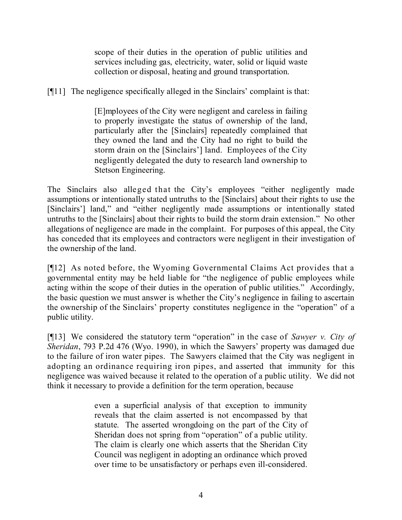scope of their duties in the operation of public utilities and services including gas, electricity, water, solid or liquid waste collection or disposal, heating and ground transportation.

[¶11] The negligence specifically alleged in the Sinclairs' complaint is that:

[E]mployees of the City were negligent and careless in failing to properly investigate the status of ownership of the land, particularly after the [Sinclairs] repeatedly complained that they owned the land and the City had no right to build the storm drain on the [Sinclairs'] land. Employees of the City negligently delegated the duty to research land ownership to Stetson Engineering.

The Sinclairs also alleged that the City's employees "either negligently made assumptions or intentionally stated untruths to the [Sinclairs] about their rights to use the [Sinclairs'] land," and "either negligently made assumptions or intentionally stated untruths to the [Sinclairs] about their rights to build the storm drain extension." No other allegations of negligence are made in the complaint. For purposes of this appeal, the City has conceded that its employees and contractors were negligent in their investigation of the ownership of the land.

[¶12] As noted before, the Wyoming Governmental Claims Act provides that a governmental entity may be held liable for "the negligence of public employees while acting within the scope of their duties in the operation of public utilities." Accordingly, the basic question we must answer is whether the City's negligence in failing to ascertain the ownership of the Sinclairs' property constitutes negligence in the "operation" of a public utility.

[¶13] We considered the statutory term "operation" in the case of *Sawyer v. City of Sheridan*, 793 P.2d 476 (Wyo. 1990), in which the Sawyers' property was damaged due to the failure of iron water pipes. The Sawyers claimed that the City was negligent in adopting an ordinance requiring iron pipes, and asserted that immunity for this negligence was waived because it related to the operation of a public utility. We did not think it necessary to provide a definition for the term operation, because

> even a superficial analysis of that exception to immunity reveals that the claim asserted is not encompassed by that statute. The asserted wrongdoing on the part of the City of Sheridan does not spring from "operation" of a public utility. The claim is clearly one which asserts that the Sheridan City Council was negligent in adopting an ordinance which proved over time to be unsatisfactory or perhaps even ill-considered.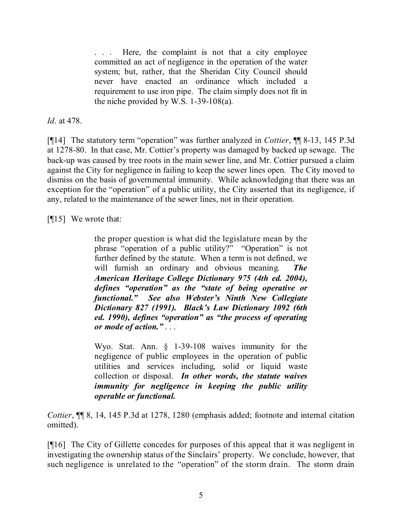Here, the complaint is not that a city employee committed an act of negligence in the operation of the water system; but, rather, that the Sheridan City Council should never have enacted an ordinance which included a requirement to use iron pipe. The claim simply does not fit in the niche provided by W.S. 1-39-108(a).

*Id*. at 478.

[¶14] The statutory term "operation" was further analyzed in *Cottier*, ¶¶ 8-13, 145 P.3d at 1278-80. In that case, Mr. Cottier's property was damaged by backed up sewage. The back-up was caused by tree roots in the main sewer line, and Mr. Cottier pursued a claim against the City for negligence in failing to keep the sewer lines open. The City moved to dismiss on the basis of governmental immunity. While acknowledging that there was an exception for the "operation" of a public utility, the City asserted that its negligence, if any, related to the maintenance of the sewer lines, not in their operation.

[¶15] We wrote that:

the proper question is what did the legislature mean by the phrase "operation of a public utility?" "Operation" is not further defined by the statute. When a term is not defined, we will furnish an ordinary and obvious meaning. *The American Heritage College Dictionary 975 (4th ed. 2004), defines "operation" as the "state of being operative or functional." See also Webster's Ninth New Collegiate Dictionary 827 (1991). Black's Law Dictionary 1092 (6th ed. 1990), defines "operation" as "the process of operating or mode of action."* . . .

Wyo. Stat. Ann. § 1-39-108 waives immunity for the negligence of public employees in the operation of public utilities and services including, solid or liquid waste collection or disposal. *In other words, the statute waives immunity for negligence in keeping the public utility operable or functional.*

*Cottier*, ¶¶ 8, 14, 145 P.3d at 1278, 1280 (emphasis added; footnote and internal citation omitted).

[¶16] The City of Gillette concedes for purposes of this appeal that it was negligent in investigating the ownership status of the Sinclairs' property. We conclude, however, that such negligence is unrelated to the "operation" of the storm drain. The storm drain